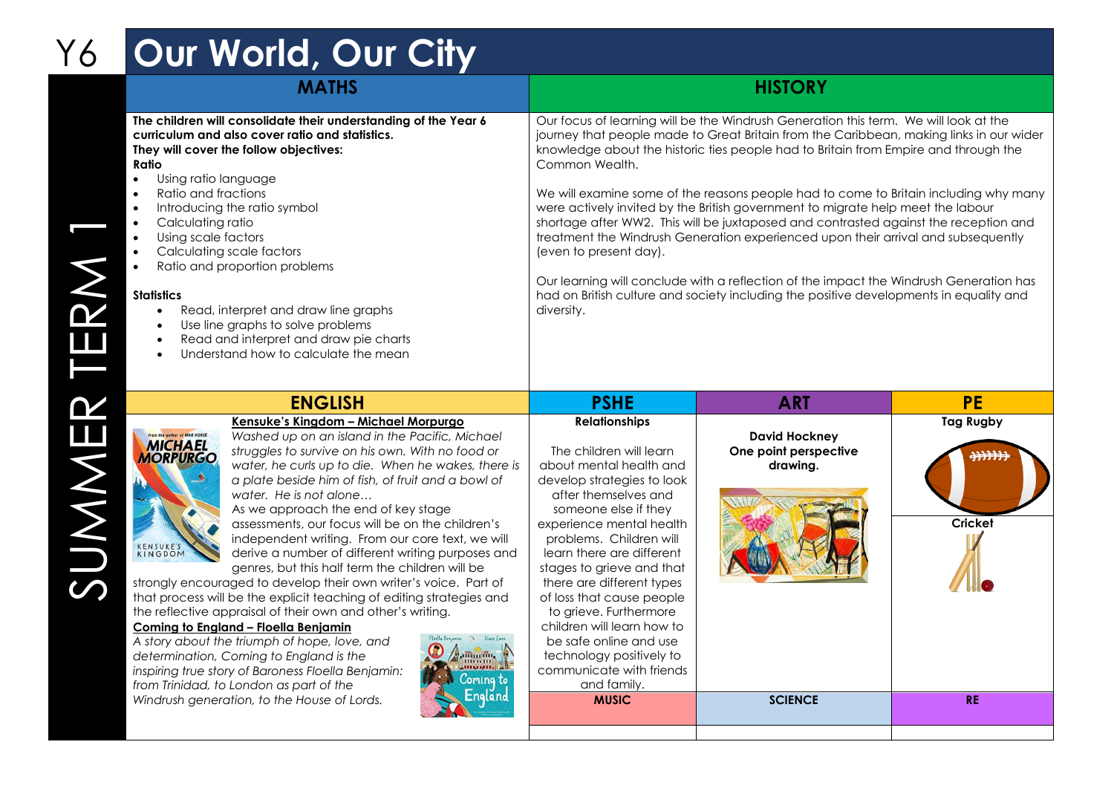## Y6 **Our World, Our City**

|       | <b>MATHS</b>                                                                                                                                                                                                                                                                                                                                                                                                                                                                                                                                                                                                                                                                                                                                                          | <b>HISTORY</b>                                                                                                                                                                                                                                                                                                                                                                                                                                                                                                                                                                                                                                                                                                                                                                                                                                                               |                                                           |                                                         |
|-------|-----------------------------------------------------------------------------------------------------------------------------------------------------------------------------------------------------------------------------------------------------------------------------------------------------------------------------------------------------------------------------------------------------------------------------------------------------------------------------------------------------------------------------------------------------------------------------------------------------------------------------------------------------------------------------------------------------------------------------------------------------------------------|------------------------------------------------------------------------------------------------------------------------------------------------------------------------------------------------------------------------------------------------------------------------------------------------------------------------------------------------------------------------------------------------------------------------------------------------------------------------------------------------------------------------------------------------------------------------------------------------------------------------------------------------------------------------------------------------------------------------------------------------------------------------------------------------------------------------------------------------------------------------------|-----------------------------------------------------------|---------------------------------------------------------|
| ERN   | The children will consolidate their understanding of the Year 6<br>curriculum and also cover ratio and statistics.<br>They will cover the follow objectives:<br>Ratio<br>Using ratio language<br>Ratio and fractions<br>Introducing the ratio symbol<br>Calculating ratio<br>Using scale factors<br>Calculating scale factors<br>Ratio and proportion problems<br><b>Statistics</b><br>Read, interpret and draw line graphs<br>$\bullet$<br>Use line graphs to solve problems<br>$\bullet$<br>Read and interpret and draw pie charts<br>Understand how to calculate the mean<br>$\bullet$                                                                                                                                                                             | Our focus of learning will be the Windrush Generation this term. We will look at the<br>journey that people made to Great Britain from the Caribbean, making links in our wider<br>knowledge about the historic ties people had to Britain from Empire and through the<br>Common Wealth.<br>We will examine some of the reasons people had to come to Britain including why many<br>were actively invited by the British government to migrate help meet the labour<br>shortage after WW2. This will be juxtaposed and contrasted against the reception and<br>treatment the Windrush Generation experienced upon their arrival and subsequently<br>(even to present day).<br>Our learning will conclude with a reflection of the impact the Windrush Generation has<br>had on British culture and society including the positive developments in equality and<br>diversity. |                                                           |                                                         |
|       | <b>ENGLISH</b>                                                                                                                                                                                                                                                                                                                                                                                                                                                                                                                                                                                                                                                                                                                                                        | <b>PSHE</b>                                                                                                                                                                                                                                                                                                                                                                                                                                                                                                                                                                                                                                                                                                                                                                                                                                                                  | <b>ART</b>                                                | <b>PE</b>                                               |
| UMMER | Kensuke's Kingdom - Michael Morpurgo<br>From the guthor of WAR HORSE<br>Washed up on an island in the Pacific, Michael<br><b>MICHAEL</b><br><b>MORPURGO</b><br>struggles to survive on his own. With no food or<br>water, he curls up to die. When he wakes, there is<br>a plate beside him of fish, of fruit and a bowl of<br>water. He is not alone<br>As we approach the end of key stage<br>assessments, our focus will be on the children's<br>independent writing. From our core text, we will<br>KENSUKE'S<br>derive a number of different writing purposes and<br>genres, but this half term the children will be<br>strongly encouraged to develop their own writer's voice. Part of<br>that process will be the explicit teaching of editing strategies and | <b>Relationships</b><br>The children will learn<br>about mental health and<br>develop strategies to look<br>after themselves and<br>someone else if they<br>experience mental health<br>problems. Children will<br>learn there are different<br>stages to grieve and that<br>there are different types<br>of loss that cause people                                                                                                                                                                                                                                                                                                                                                                                                                                                                                                                                          | <b>David Hockney</b><br>One point perspective<br>drawing. | <b>Tag Rugby</b><br><del>,,,,,,</del><br><b>Cricket</b> |

| <b>ENGLISH</b>                                                                                                                                                                                                                                                                                                                                                                                                                                                                                                                                                                                                                                                                                                                                                                                                                                                                                                                                                                                                                                                                                                                                              | <b>PSHE</b>                                                                                                                                                                                                                                                                                                                                                                                                                                                                                  | <b>ART</b>                                                | <b>PE</b>                                  |
|-------------------------------------------------------------------------------------------------------------------------------------------------------------------------------------------------------------------------------------------------------------------------------------------------------------------------------------------------------------------------------------------------------------------------------------------------------------------------------------------------------------------------------------------------------------------------------------------------------------------------------------------------------------------------------------------------------------------------------------------------------------------------------------------------------------------------------------------------------------------------------------------------------------------------------------------------------------------------------------------------------------------------------------------------------------------------------------------------------------------------------------------------------------|----------------------------------------------------------------------------------------------------------------------------------------------------------------------------------------------------------------------------------------------------------------------------------------------------------------------------------------------------------------------------------------------------------------------------------------------------------------------------------------------|-----------------------------------------------------------|--------------------------------------------|
| Kensuke's Kingdom - Michael Morpurgo<br>From the author of WAR HORSE<br>Washed up on an island in the Pacific, Michael<br><b>MICHAEL</b><br>struggles to survive on his own. With no food or<br><b>MORPURGO</b><br>water, he curls up to die. When he wakes, there is<br>a plate beside him of fish, of fruit and a bowl of<br>water. He is not alone<br>As we approach the end of key stage<br>assessments, our focus will be on the children's<br>independent writing. From our core text, we will<br>KENSUKE'S<br>derive a number of different writing purposes and<br>genres, but this half term the children will be<br>strongly encouraged to develop their own writer's voice. Part of<br>that process will be the explicit teaching of editing strategies and<br>the reflective appraisal of their own and other's writing.<br>Coming to England - Floella Benjamin<br>Floella Benjamin % Diane Euen<br>A story about the triumph of hope, love, and<br><b>Jimmin</b><br>determination, Coming to England is the<br><b>THE MELLET</b><br>inspiring true story of Baroness Floella Benjamin:<br>comina to<br>from Trinidad, to London as part of the | <b>Relationships</b><br>The children will learn<br>about mental health and<br>develop strategies to look<br>after themselves and<br>someone else if they<br>experience mental health<br>problems. Children will<br>learn there are different<br>stages to grieve and that<br>there are different types<br>of loss that cause people<br>to grieve. Furthermore<br>children will learn how to<br>be safe online and use<br>technology positively to<br>communicate with friends<br>and family. | <b>David Hockney</b><br>One point perspective<br>drawing. | <b>Tag Rugby</b><br>并开开开<br><b>Cricket</b> |
| Windrush generation, to the House of Lords.                                                                                                                                                                                                                                                                                                                                                                                                                                                                                                                                                                                                                                                                                                                                                                                                                                                                                                                                                                                                                                                                                                                 | <b>MUSIC</b>                                                                                                                                                                                                                                                                                                                                                                                                                                                                                 | <b>SCIENCE</b>                                            | <b>RE</b>                                  |
|                                                                                                                                                                                                                                                                                                                                                                                                                                                                                                                                                                                                                                                                                                                                                                                                                                                                                                                                                                                                                                                                                                                                                             |                                                                                                                                                                                                                                                                                                                                                                                                                                                                                              |                                                           |                                            |